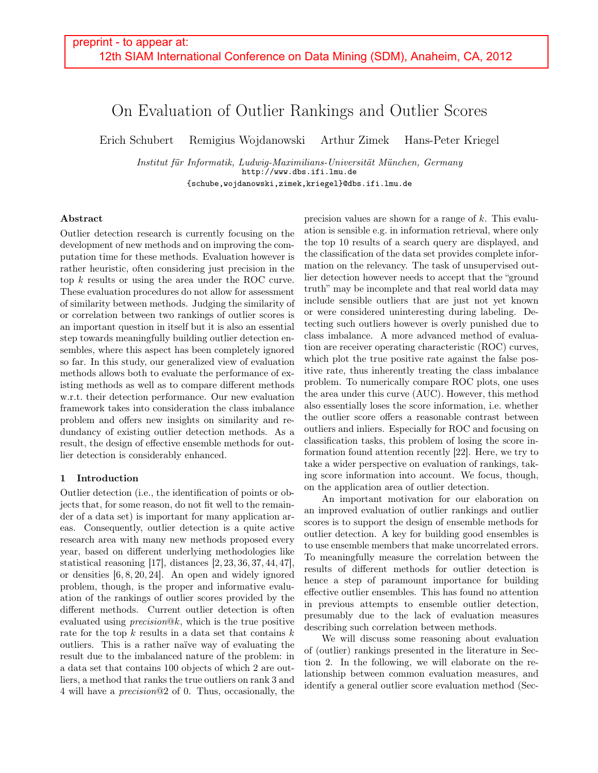# On Evaluation of Outlier Rankings and Outlier Scores

Erich Schubert Remigius Wojdanowski Arthur Zimek Hans-Peter Kriegel

*Institut für Informatik, Ludwig-Maximilians-Universität München, Germany* http://www.dbs.ifi.lmu.de

{schube,wojdanowski,zimek,kriegel}@dbs.ifi.lmu.de

## Abstract

Outlier detection research is currently focusing on the development of new methods and on improving the computation time for these methods. Evaluation however is rather heuristic, often considering just precision in the top k results or using the area under the ROC curve. These evaluation procedures do not allow for assessment of similarity between methods. Judging the similarity of or correlation between two rankings of outlier scores is an important question in itself but it is also an essential step towards meaningfully building outlier detection ensembles, where this aspect has been completely ignored so far. In this study, our generalized view of evaluation methods allows both to evaluate the performance of existing methods as well as to compare different methods w.r.t. their detection performance. Our new evaluation framework takes into consideration the class imbalance problem and offers new insights on similarity and redundancy of existing outlier detection methods. As a result, the design of effective ensemble methods for outlier detection is considerably enhanced.

#### 1 Introduction

Outlier detection (i.e., the identification of points or objects that, for some reason, do not fit well to the remainder of a data set) is important for many application areas. Consequently, outlier detection is a quite active research area with many new methods proposed every year, based on different underlying methodologies like statistical reasoning [17], distances [2, 23, 36, 37, 44, 47], or densities [6, 8, 20, 24]. An open and widely ignored problem, though, is the proper and informative evaluation of the rankings of outlier scores provided by the different methods. Current outlier detection is often evaluated using *precision*@k, which is the true positive rate for the top  $k$  results in a data set that contains  $k$ outliers. This is a rather naïve way of evaluating the result due to the imbalanced nature of the problem: in a data set that contains 100 objects of which 2 are outliers, a method that ranks the true outliers on rank 3 and 4 will have a *precision*@2 of 0. Thus, occasionally, the

precision values are shown for a range of  $k$ . This evaluation is sensible e.g. in information retrieval, where only the top 10 results of a search query are displayed, and the classification of the data set provides complete information on the relevancy. The task of unsupervised outlier detection however needs to accept that the "ground truth" may be incomplete and that real world data may include sensible outliers that are just not yet known or were considered uninteresting during labeling. Detecting such outliers however is overly punished due to class imbalance. A more advanced method of evaluation are receiver operating characteristic (ROC) curves, which plot the true positive rate against the false positive rate, thus inherently treating the class imbalance problem. To numerically compare ROC plots, one uses the area under this curve (AUC). However, this method also essentially loses the score information, i.e. whether the outlier score offers a reasonable contrast between outliers and inliers. Especially for ROC and focusing on classification tasks, this problem of losing the score information found attention recently [22]. Here, we try to take a wider perspective on evaluation of rankings, taking score information into account. We focus, though, on the application area of outlier detection.

An important motivation for our elaboration on an improved evaluation of outlier rankings and outlier scores is to support the design of ensemble methods for outlier detection. A key for building good ensembles is to use ensemble members that make uncorrelated errors. To meaningfully measure the correlation between the results of different methods for outlier detection is hence a step of paramount importance for building effective outlier ensembles. This has found no attention in previous attempts to ensemble outlier detection, presumably due to the lack of evaluation measures describing such correlation between methods.

We will discuss some reasoning about evaluation of (outlier) rankings presented in the literature in Section 2. In the following, we will elaborate on the relationship between common evaluation measures, and identify a general outlier score evaluation method (Sec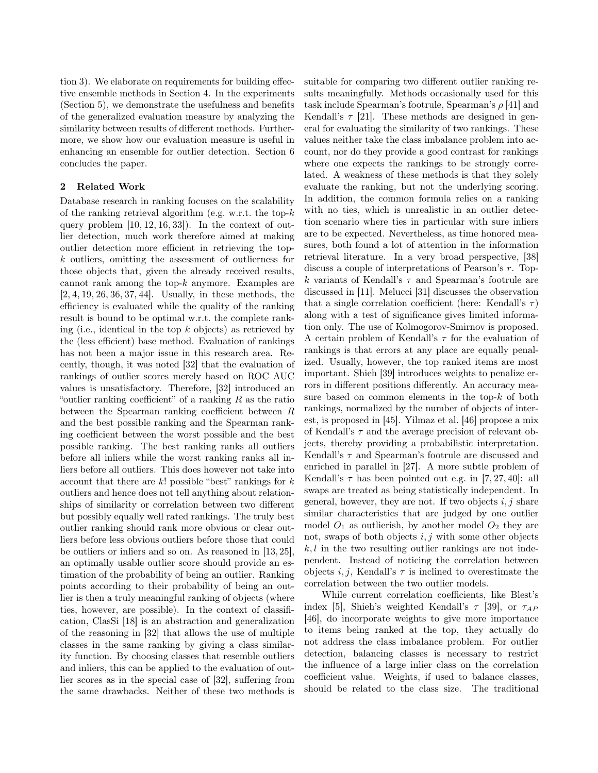tion 3). We elaborate on requirements for building effective ensemble methods in Section 4. In the experiments (Section 5), we demonstrate the usefulness and benefits of the generalized evaluation measure by analyzing the similarity between results of different methods. Furthermore, we show how our evaluation measure is useful in enhancing an ensemble for outlier detection. Section 6 concludes the paper.

## 2 Related Work

Database research in ranking focuses on the scalability of the ranking retrieval algorithm (e.g. w.r.t. the top- $k$ query problem  $[10, 12, 16, 33]$ . In the context of outlier detection, much work therefore aimed at making outlier detection more efficient in retrieving the topk outliers, omitting the assessment of outlierness for those objects that, given the already received results, cannot rank among the top- $k$  anymore. Examples are [2, 4, 19, 26, 36, 37, 44]. Usually, in these methods, the efficiency is evaluated while the quality of the ranking result is bound to be optimal w.r.t. the complete ranking (i.e., identical in the top  $k$  objects) as retrieved by the (less efficient) base method. Evaluation of rankings has not been a major issue in this research area. Recently, though, it was noted [32] that the evaluation of rankings of outlier scores merely based on ROC AUC values is unsatisfactory. Therefore, [32] introduced an "outlier ranking coefficient" of a ranking  $R$  as the ratio between the Spearman ranking coefficient between R and the best possible ranking and the Spearman ranking coefficient between the worst possible and the best possible ranking. The best ranking ranks all outliers before all inliers while the worst ranking ranks all inliers before all outliers. This does however not take into account that there are  $k!$  possible "best" rankings for  $k$ outliers and hence does not tell anything about relationships of similarity or correlation between two different but possibly equally well rated rankings. The truly best outlier ranking should rank more obvious or clear outliers before less obvious outliers before those that could be outliers or inliers and so on. As reasoned in [13, 25], an optimally usable outlier score should provide an estimation of the probability of being an outlier. Ranking points according to their probability of being an outlier is then a truly meaningful ranking of objects (where ties, however, are possible). In the context of classification, ClasSi [18] is an abstraction and generalization of the reasoning in [32] that allows the use of multiple classes in the same ranking by giving a class similarity function. By choosing classes that resemble outliers and inliers, this can be applied to the evaluation of outlier scores as in the special case of [32], suffering from the same drawbacks. Neither of these two methods is

suitable for comparing two different outlier ranking results meaningfully. Methods occasionally used for this task include Spearman's footrule, Spearman's ρ [41] and Kendall's  $\tau$  [21]. These methods are designed in general for evaluating the similarity of two rankings. These values neither take the class imbalance problem into account, nor do they provide a good contrast for rankings where one expects the rankings to be strongly correlated. A weakness of these methods is that they solely evaluate the ranking, but not the underlying scoring. In addition, the common formula relies on a ranking with no ties, which is unrealistic in an outlier detection scenario where ties in particular with sure inliers are to be expected. Nevertheless, as time honored measures, both found a lot of attention in the information retrieval literature. In a very broad perspective, [38] discuss a couple of interpretations of Pearson's r. Topk variants of Kendall's  $\tau$  and Spearman's footrule are discussed in [11]. Melucci [31] discusses the observation that a single correlation coefficient (here: Kendall's  $\tau$ ) along with a test of significance gives limited information only. The use of Kolmogorov-Smirnov is proposed. A certain problem of Kendall's  $\tau$  for the evaluation of rankings is that errors at any place are equally penalized. Usually, however, the top ranked items are most important. Shieh [39] introduces weights to penalize errors in different positions differently. An accuracy measure based on common elements in the top- $k$  of both rankings, normalized by the number of objects of interest, is proposed in [45]. Yilmaz et al. [46] propose a mix of Kendall's  $\tau$  and the average precision of relevant objects, thereby providing a probabilistic interpretation. Kendall's  $\tau$  and Spearman's footrule are discussed and enriched in parallel in [27]. A more subtle problem of Kendall's  $\tau$  has been pointed out e.g. in [7, 27, 40]: all swaps are treated as being statistically independent. In general, however, they are not. If two objects  $i, j$  share similar characteristics that are judged by one outlier model  $O_1$  as outlierish, by another model  $O_2$  they are not, swaps of both objects  $i, j$  with some other objects  $k, l$  in the two resulting outlier rankings are not independent. Instead of noticing the correlation between objects i, j, Kendall's  $\tau$  is inclined to overestimate the correlation between the two outlier models.

While current correlation coefficients, like Blest's index [5], Shieh's weighted Kendall's  $\tau$  [39], or  $\tau_{AP}$ [46], do incorporate weights to give more importance to items being ranked at the top, they actually do not address the class imbalance problem. For outlier detection, balancing classes is necessary to restrict the influence of a large inlier class on the correlation coefficient value. Weights, if used to balance classes, should be related to the class size. The traditional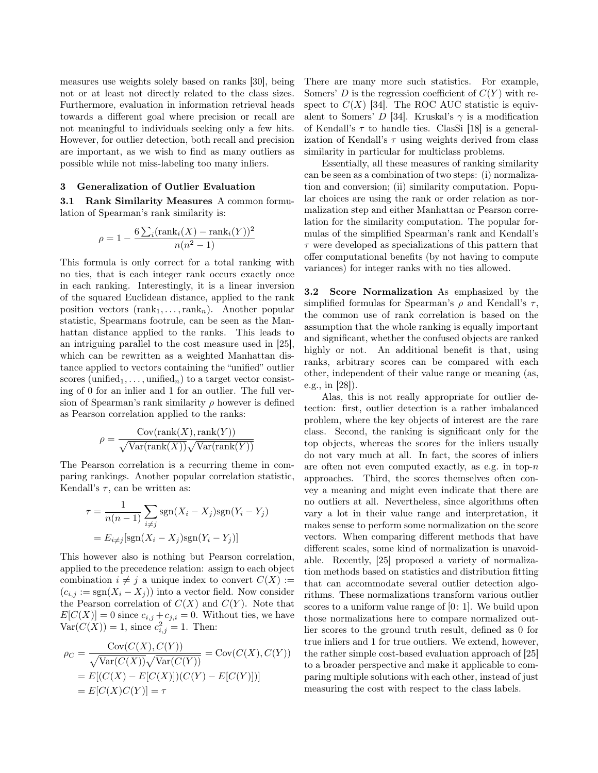measures use weights solely based on ranks [30], being not or at least not directly related to the class sizes. Furthermore, evaluation in information retrieval heads towards a different goal where precision or recall are not meaningful to individuals seeking only a few hits. However, for outlier detection, both recall and precision are important, as we wish to find as many outliers as possible while not miss-labeling too many inliers.

## 3 Generalization of Outlier Evaluation

3.1 Rank Similarity Measures A common formulation of Spearman's rank similarity is:

$$
\rho = 1 - \frac{6 \sum_{i} (\text{rank}_{i}(X) - \text{rank}_{i}(Y))^{2}}{n(n^{2} - 1)}
$$

This formula is only correct for a total ranking with no ties, that is each integer rank occurs exactly once in each ranking. Interestingly, it is a linear inversion of the squared Euclidean distance, applied to the rank position vectors  $(rank_1,...,rank_n)$ . Another popular statistic, Spearmans footrule, can be seen as the Manhattan distance applied to the ranks. This leads to an intriguing parallel to the cost measure used in [25], which can be rewritten as a weighted Manhattan distance applied to vectors containing the "unified" outlier scores (unified<sub>1</sub>, ..., unified<sub>n</sub>) to a target vector consisting of 0 for an inlier and 1 for an outlier. The full version of Spearman's rank similarity  $\rho$  however is defined as Pearson correlation applied to the ranks:

$$
\rho = \frac{\text{Cov}(\text{rank}(X), \text{rank}(Y))}{\sqrt{\text{Var}(\text{rank}(X))}\sqrt{\text{Var}(\text{rank}(Y))}}
$$

The Pearson correlation is a recurring theme in comparing rankings. Another popular correlation statistic, Kendall's  $\tau$ , can be written as:

$$
\tau = \frac{1}{n(n-1)} \sum_{i \neq j} \text{sgn}(X_i - X_j) \text{sgn}(Y_i - Y_j)
$$

$$
= E_{i \neq j} [\text{sgn}(X_i - X_j) \text{sgn}(Y_i - Y_j)]
$$

This however also is nothing but Pearson correlation, applied to the precedence relation: assign to each object combination  $i \neq j$  a unique index to convert  $C(X) :=$  $(c_{i,j} := \text{sgn}(X_i - X_j))$  into a vector field. Now consider the Pearson correlation of  $C(X)$  and  $C(Y)$ . Note that  $E[C(X)] = 0$  since  $c_{i,j} + c_{j,i} = 0$ . Without ties, we have  $Var(C(X)) = 1$ , since  $c_{i,j}^2 = 1$ . Then:

$$
\rho_C = \frac{\text{Cov}(C(X), C(Y))}{\sqrt{\text{Var}(C(X))}\sqrt{\text{Var}(C(Y))}} = \text{Cov}(C(X), C(Y))
$$

$$
= E[(C(X) - E[C(X)])(C(Y) - E[C(Y)])]
$$

$$
= E[C(X)C(Y)] = \tau
$$

There are many more such statistics. For example, Somers' D is the regression coefficient of  $C(Y)$  with respect to  $C(X)$  [34]. The ROC AUC statistic is equivalent to Somers' D [34]. Kruskal's  $\gamma$  is a modification of Kendall's  $\tau$  to handle ties. ClasSi [18] is a generalization of Kendall's  $\tau$  using weights derived from class similarity in particular for multiclass problems.

Essentially, all these measures of ranking similarity can be seen as a combination of two steps: (i) normalization and conversion; (ii) similarity computation. Popular choices are using the rank or order relation as normalization step and either Manhattan or Pearson correlation for the similarity computation. The popular formulas of the simplified Spearman's rank and Kendall's  $\tau$  were developed as specializations of this pattern that offer computational benefits (by not having to compute variances) for integer ranks with no ties allowed.

3.2 Score Normalization As emphasized by the simplified formulas for Spearman's  $\rho$  and Kendall's  $\tau$ , the common use of rank correlation is based on the assumption that the whole ranking is equally important and significant, whether the confused objects are ranked highly or not. An additional benefit is that, using ranks, arbitrary scores can be compared with each other, independent of their value range or meaning (as, e.g., in [28]).

Alas, this is not really appropriate for outlier detection: first, outlier detection is a rather imbalanced problem, where the key objects of interest are the rare class. Second, the ranking is significant only for the top objects, whereas the scores for the inliers usually do not vary much at all. In fact, the scores of inliers are often not even computed exactly, as e.g. in top-n approaches. Third, the scores themselves often convey a meaning and might even indicate that there are no outliers at all. Nevertheless, since algorithms often vary a lot in their value range and interpretation, it makes sense to perform some normalization on the score vectors. When comparing different methods that have different scales, some kind of normalization is unavoidable. Recently, [25] proposed a variety of normalization methods based on statistics and distribution fitting that can accommodate several outlier detection algorithms. These normalizations transform various outlier scores to a uniform value range of [0: 1]. We build upon those normalizations here to compare normalized outlier scores to the ground truth result, defined as 0 for true inliers and 1 for true outliers. We extend, however, the rather simple cost-based evaluation approach of [25] to a broader perspective and make it applicable to comparing multiple solutions with each other, instead of just measuring the cost with respect to the class labels.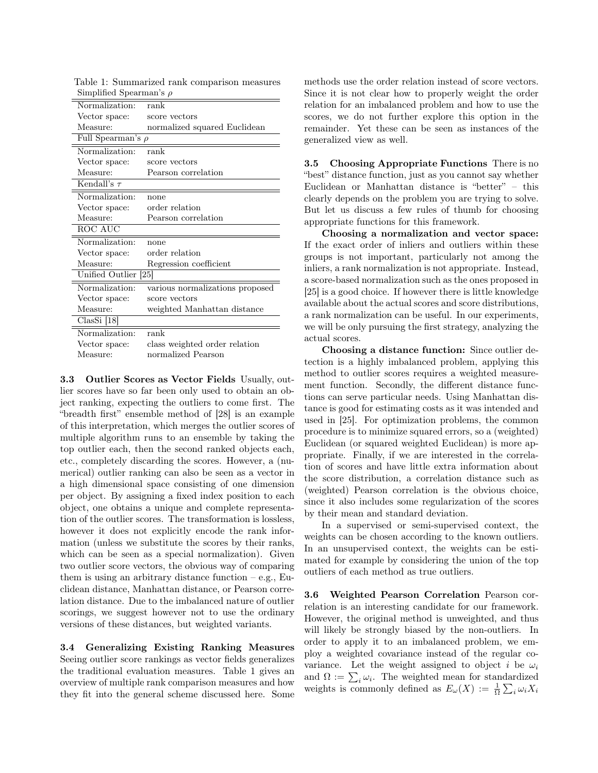| $\beta$ implined Spearman's $\rho$ |                                 |  |  |  |
|------------------------------------|---------------------------------|--|--|--|
| Normalization:                     | rank                            |  |  |  |
| Vector space:                      | score vectors                   |  |  |  |
| Measure:                           | normalized squared Euclidean    |  |  |  |
| Full Spearman's $\rho$             |                                 |  |  |  |
| Normalization:                     | rank                            |  |  |  |
| Vector space:                      | score vectors                   |  |  |  |
| Measure:                           | Pearson correlation             |  |  |  |
| Kendall's $\tau$                   |                                 |  |  |  |
| Normalization:                     | none                            |  |  |  |
| Vector space:                      | order relation                  |  |  |  |
| Measure:                           | Pearson correlation             |  |  |  |
| ROC AUC                            |                                 |  |  |  |
| Normalization:                     | none                            |  |  |  |
| Vector space:                      | order relation                  |  |  |  |
| Measure:                           | Regression coefficient          |  |  |  |
| Unified Outlier [25]               |                                 |  |  |  |
| Normalization:                     | various normalizations proposed |  |  |  |
| Vector space:                      | score vectors                   |  |  |  |
| Measure:                           | weighted Manhattan distance     |  |  |  |
| ClasSi [18]                        |                                 |  |  |  |
| Normalization:                     | rank                            |  |  |  |
| Vector space:                      | class weighted order relation   |  |  |  |
| Measure:                           | normalized Pearson              |  |  |  |

Table 1: Summarized rank comparison measures Simplified Spearman's  $\rho$ 

3.3 Outlier Scores as Vector Fields Usually, outlier scores have so far been only used to obtain an object ranking, expecting the outliers to come first. The "breadth first" ensemble method of [28] is an example of this interpretation, which merges the outlier scores of multiple algorithm runs to an ensemble by taking the top outlier each, then the second ranked objects each, etc., completely discarding the scores. However, a (numerical) outlier ranking can also be seen as a vector in a high dimensional space consisting of one dimension per object. By assigning a fixed index position to each object, one obtains a unique and complete representation of the outlier scores. The transformation is lossless, however it does not explicitly encode the rank information (unless we substitute the scores by their ranks, which can be seen as a special normalization). Given two outlier score vectors, the obvious way of comparing them is using an arbitrary distance function  $-$  e.g., Euclidean distance, Manhattan distance, or Pearson correlation distance. Due to the imbalanced nature of outlier scorings, we suggest however not to use the ordinary versions of these distances, but weighted variants.

3.4 Generalizing Existing Ranking Measures Seeing outlier score rankings as vector fields generalizes the traditional evaluation measures. Table 1 gives an overview of multiple rank comparison measures and how they fit into the general scheme discussed here. Some

methods use the order relation instead of score vectors. Since it is not clear how to properly weight the order relation for an imbalanced problem and how to use the scores, we do not further explore this option in the remainder. Yet these can be seen as instances of the generalized view as well.

3.5 Choosing Appropriate Functions There is no "best" distance function, just as you cannot say whether Euclidean or Manhattan distance is "better" – this clearly depends on the problem you are trying to solve. But let us discuss a few rules of thumb for choosing appropriate functions for this framework.

Choosing a normalization and vector space: If the exact order of inliers and outliers within these groups is not important, particularly not among the inliers, a rank normalization is not appropriate. Instead, a score-based normalization such as the ones proposed in [25] is a good choice. If however there is little knowledge available about the actual scores and score distributions, a rank normalization can be useful. In our experiments, we will be only pursuing the first strategy, analyzing the actual scores.

Choosing a distance function: Since outlier detection is a highly imbalanced problem, applying this method to outlier scores requires a weighted measurement function. Secondly, the different distance functions can serve particular needs. Using Manhattan distance is good for estimating costs as it was intended and used in [25]. For optimization problems, the common procedure is to minimize squared errors, so a (weighted) Euclidean (or squared weighted Euclidean) is more appropriate. Finally, if we are interested in the correlation of scores and have little extra information about the score distribution, a correlation distance such as (weighted) Pearson correlation is the obvious choice, since it also includes some regularization of the scores by their mean and standard deviation.

In a supervised or semi-supervised context, the weights can be chosen according to the known outliers. In an unsupervised context, the weights can be estimated for example by considering the union of the top outliers of each method as true outliers.

3.6 Weighted Pearson Correlation Pearson correlation is an interesting candidate for our framework. However, the original method is unweighted, and thus will likely be strongly biased by the non-outliers. In order to apply it to an imbalanced problem, we employ a weighted covariance instead of the regular covariance. Let the weight assigned to object i be  $\omega_i$ and  $\Omega := \sum_i \omega_i$ . The weighted mean for standardized weights is commonly defined as  $E_{\omega}(X) := \frac{1}{\Omega} \sum_{i} \omega_i X_i$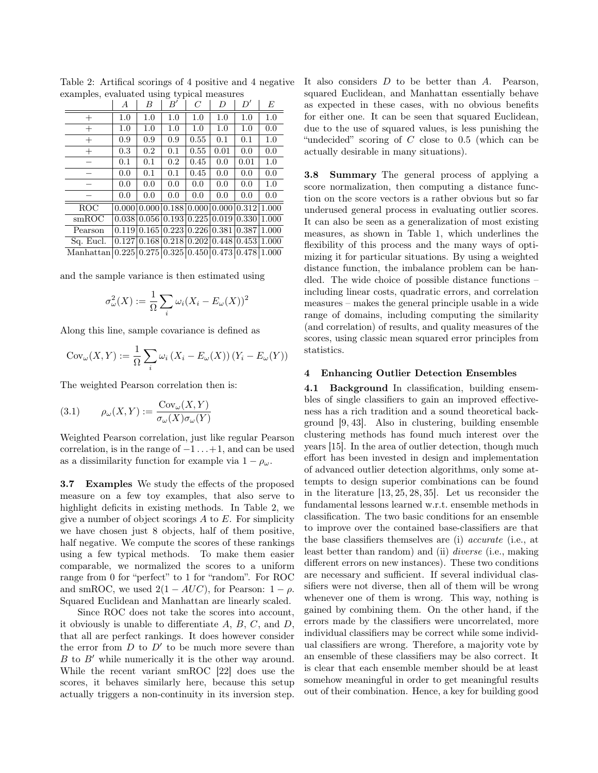|              | А   | B                                                                         | $\sim$<br>B' | C    | D    | D'   | E     |
|--------------|-----|---------------------------------------------------------------------------|--------------|------|------|------|-------|
| $^+$         | 1.0 | 1.0                                                                       | 1.0          | 1.0  | 1.0  | 1.0  | 1.0   |
| $\, +$       | 1.0 | 1.0                                                                       | 1.0          | 1.0  | 1.0  | 1.0  | 0.0   |
| $\mathrm{+}$ | 0.9 | 0.9                                                                       | 0.9          | 0.55 | 0.1  | 0.1  | 1.0   |
| $^{+}$       | 0.3 | 0.2                                                                       | 0.1          | 0.55 | 0.01 | 0.0  | 0.0   |
|              | 0.1 | 0.1                                                                       | 0.2          | 0.45 | 0.0  | 0.01 | 1.0   |
|              | 0.0 | 0.1                                                                       | 0.1          | 0.45 | 0.0  | 0.0  | 0.0   |
|              | 0.0 | 0.0                                                                       | 0.0          | 0.0  | 0.0  | 0.0  | 1.0   |
|              | 0.0 | 0.0                                                                       | 0.0          | 0.0  | 0.0  | 0.0  | 0.0   |
| <b>ROC</b>   |     | $0.000 \mid 0.000 \mid 0.188 \mid 0.000 \mid 0.000 \mid 0.312 \mid 1.000$ |              |      |      |      |       |
| smROC        |     | $0.038 \mid 0.056 \mid 0.193 \mid 0.225 \mid 0.019 \mid 0.330 \mid$       |              |      |      |      | 1.000 |
| Pearson      |     | $0.119 \mid 0.165 \mid 0.223 \mid 0.226 \mid 0.381 \mid 0.387 \mid$       |              |      |      |      | 1.000 |
| Sq. Eucl.    |     | $0.127 \mid 0.168 \mid 0.218 \mid 0.202 \mid 0.448 \mid 0.453 \mid$       |              |      |      |      | 1.000 |
| Manhattan    |     | $0.225 \mid 0.275 \mid 0.325 \mid 0.450 \mid 0.473 \mid 0.478 \mid$       |              |      |      |      | 1.000 |

Table 2: Artifical scorings of 4 positive and 4 negative examples, evaluated using typical measures

and the sample variance is then estimated using

$$
\sigma_{\omega}^{2}(X) := \frac{1}{\Omega} \sum_{i} \omega_{i} (X_{i} - E_{\omega}(X))^{2}
$$

Along this line, sample covariance is defined as

$$
Cov_{\omega}(X, Y) := \frac{1}{\Omega} \sum_{i} \omega_{i} (X_{i} - E_{\omega}(X)) (Y_{i} - E_{\omega}(Y))
$$

The weighted Pearson correlation then is:

$$
(3.1) \qquad \rho_{\omega}(X,Y) := \frac{\text{Cov}_{\omega}(X,Y)}{\sigma_{\omega}(X)\sigma_{\omega}(Y)}
$$

Weighted Pearson correlation, just like regular Pearson correlation, is in the range of  $-1 \ldots +1$ , and can be used as a dissimilarity function for example via  $1 - \rho_\omega$ .

3.7 Examples We study the effects of the proposed measure on a few toy examples, that also serve to highlight deficits in existing methods. In Table 2, we give a number of object scorings  $A$  to  $E$ . For simplicity we have chosen just 8 objects, half of them positive, half negative. We compute the scores of these rankings using a few typical methods. To make them easier comparable, we normalized the scores to a uniform range from 0 for "perfect" to 1 for "random". For ROC and smROC, we used  $2(1 - AUC)$ , for Pearson:  $1 - \rho$ . Squared Euclidean and Manhattan are linearly scaled.

Since ROC does not take the scores into account, it obviously is unable to differentiate  $A, B, C$ , and  $D$ , that all are perfect rankings. It does however consider the error from  $D$  to  $D'$  to be much more severe than  $B$  to  $B'$  while numerically it is the other way around. While the recent variant smROC [22] does use the scores, it behaves similarly here, because this setup actually triggers a non-continuity in its inversion step.

It also considers D to be better than A. Pearson, squared Euclidean, and Manhattan essentially behave as expected in these cases, with no obvious benefits for either one. It can be seen that squared Euclidean, due to the use of squared values, is less punishing the "undecided" scoring of  $C$  close to 0.5 (which can be actually desirable in many situations).

3.8 Summary The general process of applying a score normalization, then computing a distance function on the score vectors is a rather obvious but so far underused general process in evaluating outlier scores. It can also be seen as a generalization of most existing measures, as shown in Table 1, which underlines the flexibility of this process and the many ways of optimizing it for particular situations. By using a weighted distance function, the imbalance problem can be handled. The wide choice of possible distance functions – including linear costs, quadratic errors, and correlation measures – makes the general principle usable in a wide range of domains, including computing the similarity (and correlation) of results, and quality measures of the scores, using classic mean squared error principles from statistics.

#### 4 Enhancing Outlier Detection Ensembles

4.1 Background In classification, building ensembles of single classifiers to gain an improved effectiveness has a rich tradition and a sound theoretical background [9, 43]. Also in clustering, building ensemble clustering methods has found much interest over the years [15]. In the area of outlier detection, though much effort has been invested in design and implementation of advanced outlier detection algorithms, only some attempts to design superior combinations can be found in the literature [13, 25, 28, 35]. Let us reconsider the fundamental lessons learned w.r.t. ensemble methods in classification. The two basic conditions for an ensemble to improve over the contained base-classifiers are that the base classifiers themselves are (i) *accurate* (i.e., at least better than random) and (ii) *diverse* (i.e., making different errors on new instances). These two conditions are necessary and sufficient. If several individual classifiers were not diverse, then all of them will be wrong whenever one of them is wrong. This way, nothing is gained by combining them. On the other hand, if the errors made by the classifiers were uncorrelated, more individual classifiers may be correct while some individual classifiers are wrong. Therefore, a majority vote by an ensemble of these classifiers may be also correct. It is clear that each ensemble member should be at least somehow meaningful in order to get meaningful results out of their combination. Hence, a key for building good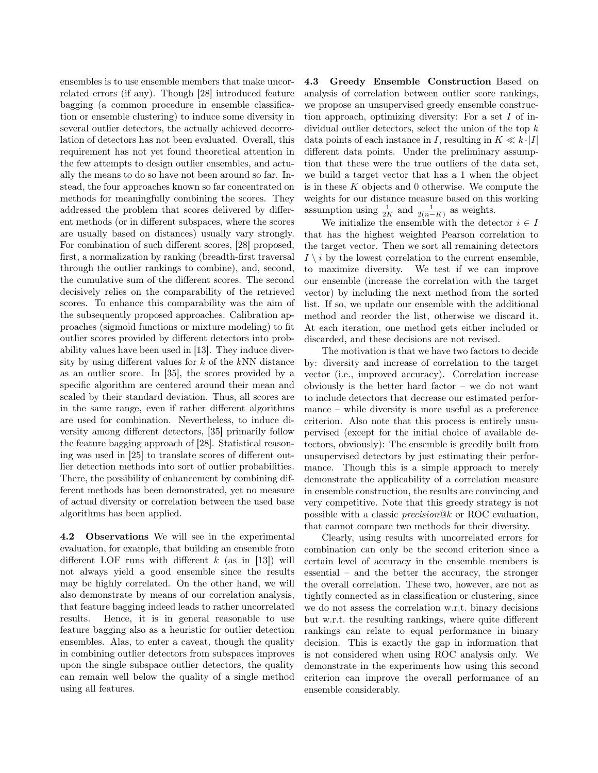ensembles is to use ensemble members that make uncorrelated errors (if any). Though [28] introduced feature bagging (a common procedure in ensemble classification or ensemble clustering) to induce some diversity in several outlier detectors, the actually achieved decorrelation of detectors has not been evaluated. Overall, this requirement has not yet found theoretical attention in the few attempts to design outlier ensembles, and actually the means to do so have not been around so far. Instead, the four approaches known so far concentrated on methods for meaningfully combining the scores. They addressed the problem that scores delivered by different methods (or in different subspaces, where the scores are usually based on distances) usually vary strongly. For combination of such different scores, [28] proposed, first, a normalization by ranking (breadth-first traversal through the outlier rankings to combine), and, second, the cumulative sum of the different scores. The second decisively relies on the comparability of the retrieved scores. To enhance this comparability was the aim of the subsequently proposed approaches. Calibration approaches (sigmoid functions or mixture modeling) to fit outlier scores provided by different detectors into probability values have been used in [13]. They induce diversity by using different values for  $k$  of the  $kNN$  distance as an outlier score. In [35], the scores provided by a specific algorithm are centered around their mean and scaled by their standard deviation. Thus, all scores are in the same range, even if rather different algorithms are used for combination. Nevertheless, to induce diversity among different detectors, [35] primarily follow the feature bagging approach of [28]. Statistical reasoning was used in [25] to translate scores of different outlier detection methods into sort of outlier probabilities. There, the possibility of enhancement by combining different methods has been demonstrated, yet no measure of actual diversity or correlation between the used base algorithms has been applied.

4.2 Observations We will see in the experimental evaluation, for example, that building an ensemble from different LOF runs with different  $k$  (as in [13]) will not always yield a good ensemble since the results may be highly correlated. On the other hand, we will also demonstrate by means of our correlation analysis, that feature bagging indeed leads to rather uncorrelated results. Hence, it is in general reasonable to use feature bagging also as a heuristic for outlier detection ensembles. Alas, to enter a caveat, though the quality in combining outlier detectors from subspaces improves upon the single subspace outlier detectors, the quality can remain well below the quality of a single method using all features.

4.3 Greedy Ensemble Construction Based on analysis of correlation between outlier score rankings, we propose an unsupervised greedy ensemble construction approach, optimizing diversity: For a set  $I$  of individual outlier detectors, select the union of the top  $k$ data points of each instance in I, resulting in  $K \ll k \cdot |I|$ different data points. Under the preliminary assumption that these were the true outliers of the data set, we build a target vector that has a 1 when the object is in these  $K$  objects and  $0$  otherwise. We compute the weights for our distance measure based on this working assumption using  $\frac{1}{2K}$  and  $\frac{1}{2(n-K)}$  as weights.

We initialize the ensemble with the detector  $i \in I$ that has the highest weighted Pearson correlation to the target vector. Then we sort all remaining detectors  $I \setminus i$  by the lowest correlation to the current ensemble, to maximize diversity. We test if we can improve our ensemble (increase the correlation with the target vector) by including the next method from the sorted list. If so, we update our ensemble with the additional method and reorder the list, otherwise we discard it. At each iteration, one method gets either included or discarded, and these decisions are not revised.

The motivation is that we have two factors to decide by: diversity and increase of correlation to the target vector (i.e., improved accuracy). Correlation increase obviously is the better hard factor – we do not want to include detectors that decrease our estimated performance – while diversity is more useful as a preference criterion. Also note that this process is entirely unsupervised (except for the initial choice of available detectors, obviously): The ensemble is greedily built from unsupervised detectors by just estimating their performance. Though this is a simple approach to merely demonstrate the applicability of a correlation measure in ensemble construction, the results are convincing and very competitive. Note that this greedy strategy is not possible with a classic *precision*@k or ROC evaluation, that cannot compare two methods for their diversity.

Clearly, using results with uncorrelated errors for combination can only be the second criterion since a certain level of accuracy in the ensemble members is essential – and the better the accuracy, the stronger the overall correlation. These two, however, are not as tightly connected as in classification or clustering, since we do not assess the correlation w.r.t. binary decisions but w.r.t. the resulting rankings, where quite different rankings can relate to equal performance in binary decision. This is exactly the gap in information that is not considered when using ROC analysis only. We demonstrate in the experiments how using this second criterion can improve the overall performance of an ensemble considerably.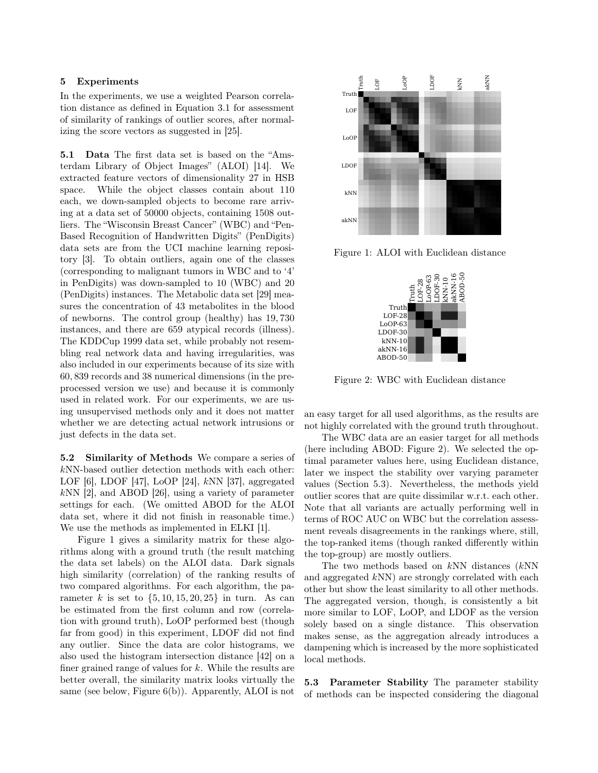#### 5 Experiments

In the experiments, we use a weighted Pearson correlation distance as defined in Equation 3.1 for assessment of similarity of rankings of outlier scores, after normalizing the score vectors as suggested in [25].

5.1 Data The first data set is based on the "Amsterdam Library of Object Images" (ALOI) [14]. We extracted feature vectors of dimensionality 27 in HSB space. While the object classes contain about 110 each, we down-sampled objects to become rare arriving at a data set of 50000 objects, containing 1508 outliers. The "Wisconsin Breast Cancer" (WBC) and "Pen-Based Recognition of Handwritten Digits" (PenDigits) data sets are from the UCI machine learning repository [3]. To obtain outliers, again one of the classes (corresponding to malignant tumors in WBC and to '4' in PenDigits) was down-sampled to 10 (WBC) and 20 (PenDigits) instances. The Metabolic data set [29] measures the concentration of 43 metabolites in the blood of newborns. The control group (healthy) has 19, 730 instances, and there are 659 atypical records (illness). The KDDCup 1999 data set, while probably not resembling real network data and having irregularities, was also included in our experiments because of its size with 60, 839 records and 38 numerical dimensions (in the preprocessed version we use) and because it is commonly used in related work. For our experiments, we are using unsupervised methods only and it does not matter whether we are detecting actual network intrusions or just defects in the data set.

5.2 Similarity of Methods We compare a series of kNN-based outlier detection methods with each other: LOF  $[6]$ , LDOF  $[47]$ , LoOP  $[24]$ , kNN  $[37]$ , aggregated kNN [2], and ABOD [26], using a variety of parameter settings for each. (We omitted ABOD for the ALOI data set, where it did not finish in reasonable time.) We use the methods as implemented in ELKI [1].

Figure 1 gives a similarity matrix for these algorithms along with a ground truth (the result matching the data set labels) on the ALOI data. Dark signals high similarity (correlation) of the ranking results of two compared algorithms. For each algorithm, the parameter k is set to  $\{5, 10, 15, 20, 25\}$  in turn. As can be estimated from the first column and row (correlation with ground truth), LoOP performed best (though far from good) in this experiment, LDOF did not find any outlier. Since the data are color histograms, we also used the histogram intersection distance [42] on a finer grained range of values for  $k$ . While the results are better overall, the similarity matrix looks virtually the same (see below, Figure 6(b)). Apparently, ALOI is not



Figure 1: ALOI with Euclidean distance



Figure 2: WBC with Euclidean distance

an easy target for all used algorithms, as the results are not highly correlated with the ground truth throughout.

The WBC data are an easier target for all methods (here including ABOD: Figure 2). We selected the optimal parameter values here, using Euclidean distance, later we inspect the stability over varying parameter values (Section 5.3). Nevertheless, the methods yield outlier scores that are quite dissimilar w.r.t. each other. Note that all variants are actually performing well in terms of ROC AUC on WBC but the correlation assessment reveals disagreements in the rankings where, still, the top-ranked items (though ranked differently within the top-group) are mostly outliers.

The two methods based on  $kNN$  distances  $(kNN)$ and aggregated kNN) are strongly correlated with each other but show the least similarity to all other methods. The aggregated version, though, is consistently a bit more similar to LOF, LoOP, and LDOF as the version solely based on a single distance. This observation makes sense, as the aggregation already introduces a dampening which is increased by the more sophisticated local methods.

5.3 Parameter Stability The parameter stability of methods can be inspected considering the diagonal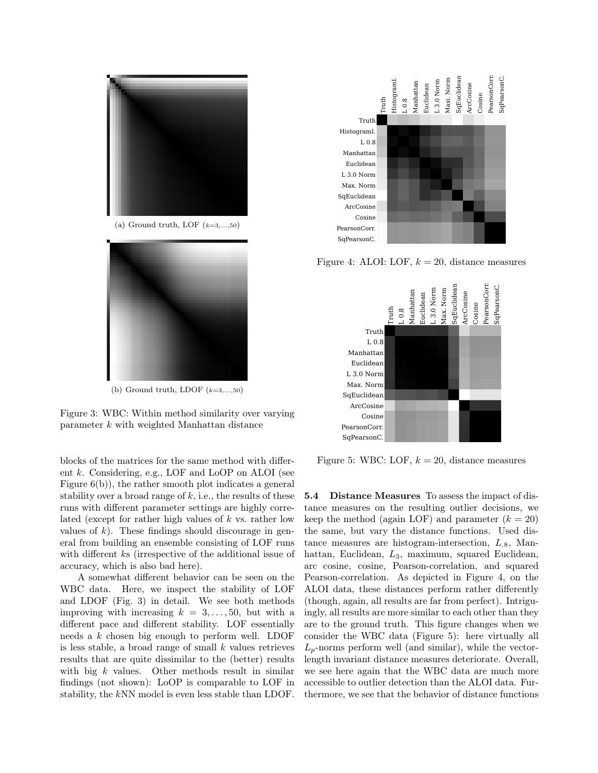



(b) Ground truth, LDOF  $(k=3,\ldots,50)$ 

Figure 3: WBC: Within method similarity over varying parameter k with weighted Manhattan distance

blocks of the matrices for the same method with different k. Considering, e.g., LOF and LoOP on ALOI (see Figure 6(b)), the rather smooth plot indicates a general stability over a broad range of  $k$ , i.e., the results of these runs with different parameter settings are highly correlated (except for rather high values of k vs. rather low values of  $k$ ). These findings should discourage in general from building an ensemble consisting of LOF runs with different ks (irrespective of the additional issue of accuracy, which is also bad here).

A somewhat different behavior can be seen on the WBC data. Here, we inspect the stability of LOF and LDOF (Fig. 3) in detail. We see both methods improving with increasing  $k = 3, \ldots, 50$ , but with a different pace and different stability. LOF essentially needs a k chosen big enough to perform well. LDOF is less stable, a broad range of small  $k$  values retrieves results that are quite dissimilar to the (better) results with big  $k$  values. Other methods result in similar findings (not shown): LoOP is comparable to LOF in stability, the kNN model is even less stable than LDOF.



Figure 4: ALOI: LOF,  $k = 20$ , distance measures



Figure 5: WBC: LOF,  $k = 20$ , distance measures

5.4 Distance Measures To assess the impact of distance measures on the resulting outlier decisions, we keep the method (again LOF) and parameter  $(k = 20)$ the same, but vary the distance functions. Used distance measures are histogram-intersection,  $L_{.8}$ , Manhattan, Euclidean, L3, maximum, squared Euclidean, arc cosine, cosine, Pearson-correlation, and squared Pearson-correlation. As depicted in Figure 4, on the ALOI data, these distances perform rather differently (though, again, all results are far from perfect). Intriguingly, all results are more similar to each other than they are to the ground truth. This figure changes when we consider the WBC data (Figure 5): here virtually all  $L_p$ -norms perform well (and similar), while the vectorlength invariant distance measures deteriorate. Overall, we see here again that the WBC data are much more accessible to outlier detection than the ALOI data. Furthermore, we see that the behavior of distance functions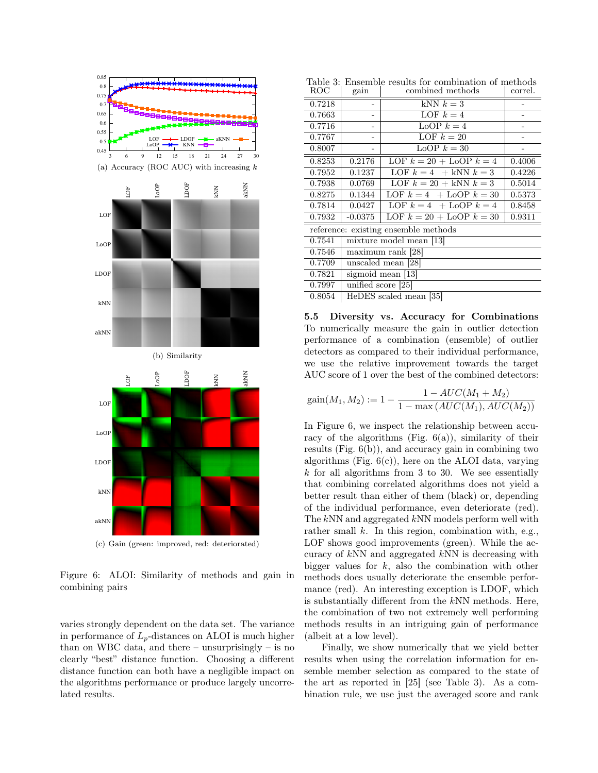

Figure 6: ALOI: Similarity of methods and gain in combining pairs

varies strongly dependent on the data set. The variance in performance of  $L_p$ -distances on ALOI is much higher than on WBC data, and there – unsurprisingly – is no clearly "best" distance function. Choosing a different distance function can both have a negligible impact on the algorithms performance or produce largely uncorrelated results.

| ROC                                  | gain                   | combined methods             | correl. |  |  |
|--------------------------------------|------------------------|------------------------------|---------|--|--|
| 0.7218                               | -                      | kNN $k=3$                    |         |  |  |
| 0.7663                               | -                      | LOF $k=4$                    |         |  |  |
| 0.7716                               | -                      | LoOP $k = 4$                 |         |  |  |
| 0.7767                               | -                      | LOF $k=20$                   |         |  |  |
| 0.8007                               |                        | LoOP $k = 30$                |         |  |  |
| 0.8253                               | 0.2176                 | LOF $k = 20 +$ LoOP $k = 4$  | 0.4006  |  |  |
| 0.7952                               | 0.1237                 | LOF $k = 4$ + kNN $k = 3$    | 0.4226  |  |  |
| 0.7938                               | 0.0769                 | LOF $k = 20 + kNN k = 3$     | 0.5014  |  |  |
| 0.8275                               | 0.1344                 | LOF $k = 4$ + LoOP $k = 30$  | 0.5373  |  |  |
| 0.7814                               | 0.0427                 | LOF $k = 4$ + LoOP $k = 4$   | 0.8458  |  |  |
| 0.7932                               | $-0.0375$              | LOF $k = 20 +$ LoOP $k = 30$ | 0.9311  |  |  |
| reference: existing ensemble methods |                        |                              |         |  |  |
| 0.7541<br>mixture model mean [13]    |                        |                              |         |  |  |
| 0.7546                               | maximum rank [28]      |                              |         |  |  |
| 0.7709                               | unscaled mean [28]     |                              |         |  |  |
| 0.7821                               | sigmoid mean [13]      |                              |         |  |  |
| 0.7997                               | unified score [25]     |                              |         |  |  |
| 0.8054                               | HeDES scaled mean [35] |                              |         |  |  |

5.5 Diversity vs. Accuracy for Combinations To numerically measure the gain in outlier detection performance of a combination (ensemble) of outlier detectors as compared to their individual performance, we use the relative improvement towards the target

$$
gain(M_1, M_2) := 1 - \frac{1 - AUC(M_1 + M_2)}{1 - \max(AUC(M_1), AUC(M_2))}
$$

AUC score of 1 over the best of the combined detectors:

In Figure 6, we inspect the relationship between accuracy of the algorithms (Fig.  $6(a)$ ), similarity of their results (Fig. 6(b)), and accuracy gain in combining two algorithms (Fig.  $6(c)$ ), here on the ALOI data, varying  $k$  for all algorithms from 3 to 30. We see essentially that combining correlated algorithms does not yield a better result than either of them (black) or, depending of the individual performance, even deteriorate (red). The kNN and aggregated kNN models perform well with rather small  $k$ . In this region, combination with, e.g., LOF shows good improvements (green). While the accuracy of  $kNN$  and aggregated  $kNN$  is decreasing with bigger values for  $k$ , also the combination with other methods does usually deteriorate the ensemble performance (red). An interesting exception is LDOF, which is substantially different from the kNN methods. Here, the combination of two not extremely well performing methods results in an intriguing gain of performance (albeit at a low level).

Finally, we show numerically that we yield better results when using the correlation information for ensemble member selection as compared to the state of the art as reported in [25] (see Table 3). As a combination rule, we use just the averaged score and rank

Table 3: Ensemble results for combination of methods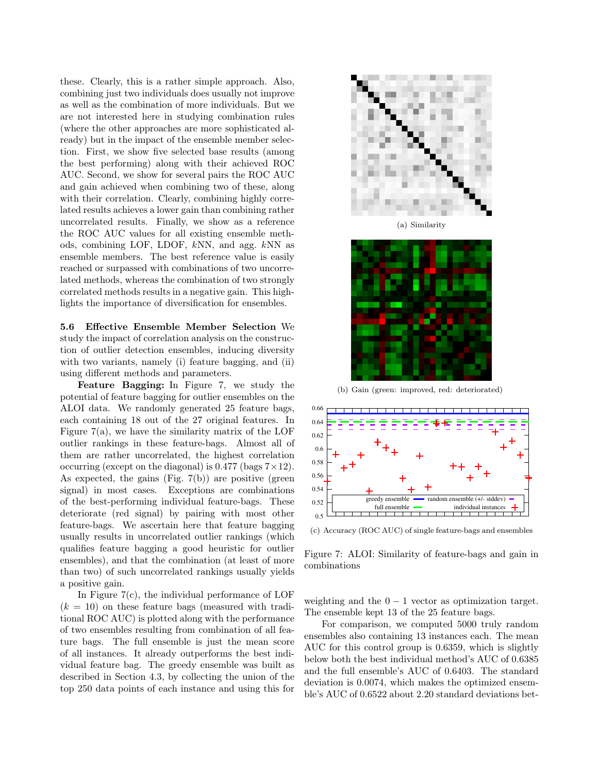these. Clearly, this is a rather simple approach. Also, combining just two individuals does usually not improve as well as the combination of more individuals. But we are not interested here in studying combination rules (where the other approaches are more sophisticated already) but in the impact of the ensemble member selection. First, we show five selected base results (among the best performing) along with their achieved ROC AUC. Second, we show for several pairs the ROC AUC and gain achieved when combining two of these, along with their correlation. Clearly, combining highly correlated results achieves a lower gain than combining rather uncorrelated results. Finally, we show as a reference the ROC AUC values for all existing ensemble methods, combining LOF, LDOF, kNN, and agg. kNN as ensemble members. The best reference value is easily reached or surpassed with combinations of two uncorrelated methods, whereas the combination of two strongly correlated methods results in a negative gain. This highlights the importance of diversification for ensembles.

5.6 Effective Ensemble Member Selection We study the impact of correlation analysis on the construction of outlier detection ensembles, inducing diversity with two variants, namely (i) feature bagging, and (ii) using different methods and parameters.

Feature Bagging: In Figure 7, we study the potential of feature bagging for outlier ensembles on the ALOI data. We randomly generated 25 feature bags, each containing 18 out of the 27 original features. In Figure 7(a), we have the similarity matrix of the LOF outlier rankings in these feature-bags. Almost all of them are rather uncorrelated, the highest correlation occurring (except on the diagonal) is 0.477 (bags  $7 \times 12$ ). As expected, the gains (Fig. 7(b)) are positive (green signal) in most cases. Exceptions are combinations of the best-performing individual feature-bags. These deteriorate (red signal) by pairing with most other feature-bags. We ascertain here that feature bagging usually results in uncorrelated outlier rankings (which qualifies feature bagging a good heuristic for outlier ensembles), and that the combination (at least of more than two) of such uncorrelated rankings usually yields a positive gain.

In Figure 7(c), the individual performance of LOF  $(k = 10)$  on these feature bags (measured with traditional ROC AUC) is plotted along with the performance of two ensembles resulting from combination of all feature bags. The full ensemble is just the mean score of all instances. It already outperforms the best individual feature bag. The greedy ensemble was built as described in Section 4.3, by collecting the union of the top 250 data points of each instance and using this for





(b) Gain (green: improved, red: deteriorated)



(c) Accuracy (ROC AUC) of single feature-bags and ensembles

Figure 7: ALOI: Similarity of feature-bags and gain in combinations

weighting and the  $0 - 1$  vector as optimization target. The ensemble kept 13 of the 25 feature bags.

For comparison, we computed 5000 truly random ensembles also containing 13 instances each. The mean AUC for this control group is 0.6359, which is slightly below both the best individual method's AUC of 0.6385 and the full ensemble's AUC of 0.6403. The standard deviation is 0.0074, which makes the optimized ensemble's AUC of 0.6522 about 2.20 standard deviations bet-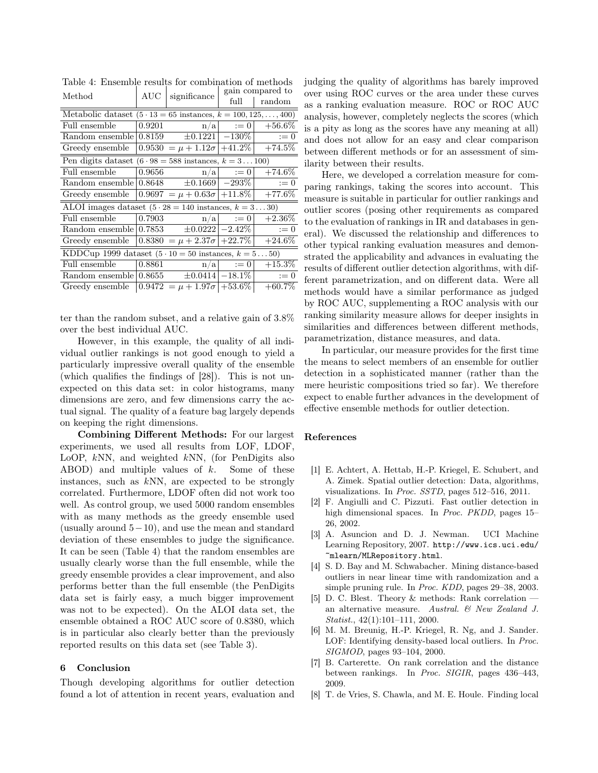|                                                                                   | $\rm AUC$ | significance           | gain compared to |           |  |  |  |
|-----------------------------------------------------------------------------------|-----------|------------------------|------------------|-----------|--|--|--|
| Method                                                                            |           |                        | full             | random    |  |  |  |
| Metabolic dataset $(5 \cdot 13 = 65 \text{ instances}, k = 100, 125, \dots, 400)$ |           |                        |                  |           |  |  |  |
| Full ensemble                                                                     |           | $\sqrt{0.9201}$<br>n/a | $:= 0$           | $+56.6\%$ |  |  |  |
| Random ensemble $ 0.8159 \t\t \pm 0.1221  -130\% $                                |           |                        |                  | $:= 0$    |  |  |  |
| Greedy ensemble $ 0.9530 = \mu + 1.12\sigma   +41.2\% $                           |           |                        |                  | $+74.5%$  |  |  |  |
| Pen digits dataset $(6 \cdot 98 = 588 \text{ instances}, k = 3100)$               |           |                        |                  |           |  |  |  |
| Full ensemble                                                                     |           | 0.9656 <br>n/a         | $:= 0$           | $+74.6\%$ |  |  |  |
| Random ensemble $ 0.8648 \t\t \pm 0.1669  -293\% $                                |           |                        |                  | $:= 0$    |  |  |  |
| Greedy ensemble $ 0.9697  = \mu + 0.63\sigma + 11.8\% $                           |           |                        |                  | $+77.6\%$ |  |  |  |
| ALOI images dataset $(5 \cdot 28 = 140 \text{ instances}, k = 330)$               |           |                        |                  |           |  |  |  |
| Full ensemble                                                                     | 0.7903    | n/a                    | $:= 0$           | $+2.36\%$ |  |  |  |
| Random ensemble $ 0.7853 \t\pm 0.0222  -2.42\% $                                  |           |                        |                  | $:= 0$    |  |  |  |
| Greedy ensemble $ 0.8380  = \mu + 2.37\sigma   +22.7\%$                           |           |                        |                  | $+24.6\%$ |  |  |  |
| KDDCup 1999 dataset $(5 \cdot 10 = 50 \text{ instances}, k = 550)$                |           |                        |                  |           |  |  |  |
| Full ensemble                                                                     | 0.8861    | n/a                    | $:= 0$           | $+15.3\%$ |  |  |  |
| Random ensemble $ 0.8655 \t\pm 0.0414  - 18.1\%$                                  |           |                        |                  | $:= 0$    |  |  |  |
| Greedy ensemble $ 0.9472  = \mu + 1.97\sigma + 53.6\% $                           |           |                        |                  | $+60.7\%$ |  |  |  |

ter than the random subset, and a relative gain of 3.8% over the best individual AUC.

However, in this example, the quality of all individual outlier rankings is not good enough to yield a particularly impressive overall quality of the ensemble (which qualifies the findings of [28]). This is not unexpected on this data set: in color histograms, many dimensions are zero, and few dimensions carry the actual signal. The quality of a feature bag largely depends on keeping the right dimensions.

Combining Different Methods: For our largest experiments, we used all results from LOF, LDOF, LoOP, kNN, and weighted kNN, (for PenDigits also  $ABOD$ ) and multiple values of  $k$ . Some of these instances, such as kNN, are expected to be strongly correlated. Furthermore, LDOF often did not work too well. As control group, we used 5000 random ensembles with as many methods as the greedy ensemble used (usually around  $5-10$ ), and use the mean and standard deviation of these ensembles to judge the significance. It can be seen (Table 4) that the random ensembles are usually clearly worse than the full ensemble, while the greedy ensemble provides a clear improvement, and also performs better than the full ensemble (the PenDigits data set is fairly easy, a much bigger improvement was not to be expected). On the ALOI data set, the ensemble obtained a ROC AUC score of 0.8380, which is in particular also clearly better than the previously reported results on this data set (see Table 3).

# 6 Conclusion

Though developing algorithms for outlier detection found a lot of attention in recent years, evaluation and

judging the quality of algorithms has barely improved over using ROC curves or the area under these curves as a ranking evaluation measure. ROC or ROC AUC analysis, however, completely neglects the scores (which is a pity as long as the scores have any meaning at all) and does not allow for an easy and clear comparison between different methods or for an assessment of similarity between their results.

Here, we developed a correlation measure for comparing rankings, taking the scores into account. This measure is suitable in particular for outlier rankings and outlier scores (posing other requirements as compared to the evaluation of rankings in IR and databases in general). We discussed the relationship and differences to other typical ranking evaluation measures and demonstrated the applicability and advances in evaluating the results of different outlier detection algorithms, with different parametrization, and on different data. Were all methods would have a similar performance as judged by ROC AUC, supplementing a ROC analysis with our ranking similarity measure allows for deeper insights in similarities and differences between different methods, parametrization, distance measures, and data.

In particular, our measure provides for the first time the means to select members of an ensemble for outlier detection in a sophisticated manner (rather than the mere heuristic compositions tried so far). We therefore expect to enable further advances in the development of effective ensemble methods for outlier detection.

### References

- [1] E. Achtert, A. Hettab, H.-P. Kriegel, E. Schubert, and A. Zimek. Spatial outlier detection: Data, algorithms, visualizations. In *Proc. SSTD*, pages 512–516, 2011.
- [2] F. Angiulli and C. Pizzuti. Fast outlier detection in high dimensional spaces. In *Proc. PKDD*, pages 15– 26, 2002.
- [3] A. Asuncion and D. J. Newman. UCI Machine Learning Repository, 2007. http://www.ics.uci.edu/ ~mlearn/MLRepository.html.
- [4] S. D. Bay and M. Schwabacher. Mining distance-based outliers in near linear time with randomization and a simple pruning rule. In *Proc. KDD*, pages 29–38, 2003.
- [5] D. C. Blest. Theory & methods: Rank correlation an alternative measure. *Austral. & New Zealand J. Statist.*, 42(1):101–111, 2000.
- [6] M. M. Breunig, H.-P. Kriegel, R. Ng, and J. Sander. LOF: Identifying density-based local outliers. In *Proc. SIGMOD*, pages 93–104, 2000.
- [7] B. Carterette. On rank correlation and the distance between rankings. In *Proc. SIGIR*, pages 436–443, 2009.
- [8] T. de Vries, S. Chawla, and M. E. Houle. Finding local

Table 4: Ensemble results for combination of methods